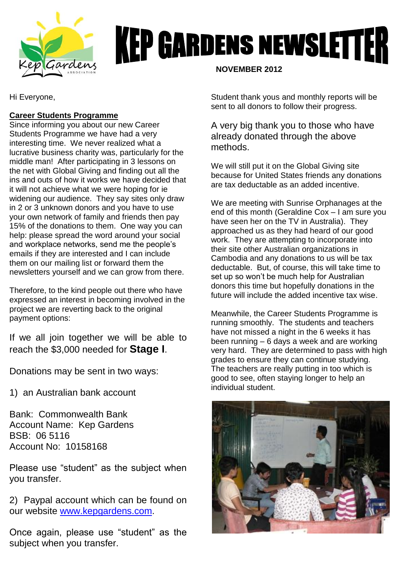

# **KEP GARDENS NEWSLETTER**

Hi Everyone,

# **Career Students Programme**

Since informing you about our new Career Students Programme we have had a very interesting time. We never realized what a lucrative business charity was, particularly for the middle man! After participating in 3 lessons on the net with Global Giving and finding out all the ins and outs of how it works we have decided that it will not achieve what we were hoping for ie widening our audience. They say sites only draw in 2 or 3 unknown donors and you have to use your own network of family and friends then pay 15% of the donations to them. One way you can help: please spread the word around your social and workplace networks, send me the people's emails if they are interested and I can include them on our mailing list or forward them the newsletters yourself and we can grow from there.

Therefore, to the kind people out there who have expressed an interest in becoming involved in the project we are reverting back to the original payment options:

If we all join together we will be able to reach the \$3,000 needed for **Stage I**.

Donations may be sent in two ways:

1) an Australian bank account

Bank: Commonwealth Bank Account Name: Kep Gardens BSB: 06 5116 Account No: 10158168

Please use "student" as the subject when you transfer.

2) Paypal account which can be found on our website [www.kepgardens.com.](http://www.kepgardens.com/)

Once again, please use "student" as the subject when you transfer.

 **NOVEMBER 2012**

Student thank yous and monthly reports will be sent to all donors to follow their progress.

A very big thank you to those who have already donated through the above methods.

We will still put it on the Global Giving site because for United States friends any donations are tax deductable as an added incentive.

We are meeting with Sunrise Orphanages at the end of this month (Geraldine Cox – I am sure you have seen her on the TV in Australia). They approached us as they had heard of our good work. They are attempting to incorporate into their site other Australian organizations in Cambodia and any donations to us will be tax deductable. But, of course, this will take time to set up so won't be much help for Australian donors this time but hopefully donations in the future will include the added incentive tax wise.

Meanwhile, the Career Students Programme is running smoothly. The students and teachers have not missed a night in the 6 weeks it has been running – 6 days a week and are working very hard. They are determined to pass with high grades to ensure they can continue studying. The teachers are really putting in too which is good to see, often staying longer to help an individual student.

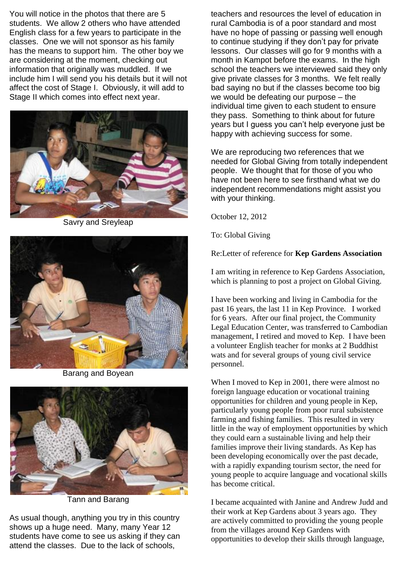You will notice in the photos that there are 5 students. We allow 2 others who have attended English class for a few years to participate in the classes. One we will not sponsor as his family has the means to support him. The other boy we are considering at the moment, checking out information that originally was muddled. If we include him I will send you his details but it will not affect the cost of Stage I. Obviously, it will add to Stage II which comes into effect next year.



Savry and Sreyleap



Barang and Boyean



Tann and Barang

As usual though, anything you try in this country shows up a huge need. Many, many Year 12 students have come to see us asking if they can attend the classes. Due to the lack of schools,

teachers and resources the level of education in rural Cambodia is of a poor standard and most have no hope of passing or passing well enough to continue studying if they don't pay for private lessons. Our classes will go for 9 months with a month in Kampot before the exams. In the high school the teachers we interviewed said they only give private classes for 3 months. We felt really bad saying no but if the classes become too big we would be defeating our purpose – the individual time given to each student to ensure they pass. Something to think about for future years but I guess you can't help everyone just be happy with achieving success for some.

We are reproducing two references that we needed for Global Giving from totally independent people. We thought that for those of you who have not been here to see firsthand what we do independent recommendations might assist you with your thinking.

October 12, 2012

To: Global Giving

Re:Letter of reference for **Kep Gardens Association** 

I am writing in reference to Kep Gardens Association, which is planning to post a project on Global Giving.

I have been working and living in Cambodia for the past 16 years, the last 11 in Kep Province. I worked for 6 years. After our final project, the Community Legal Education Center, was transferred to Cambodian management, I retired and moved to Kep. I have been a volunteer English teacher for monks at 2 Buddhist wats and for several groups of young civil service personnel.

When I moved to Kep in 2001, there were almost no foreign language education or vocational training opportunities for children and young people in Kep, particularly young people from poor rural subsistence farming and fishing families. This resulted in very little in the way of employment opportunities by which they could earn a sustainable living and help their families improve their living standards. As Kep has been developing economically over the past decade, with a rapidly expanding tourism sector, the need for young people to acquire language and vocational skills has become critical.

I became acquainted with Janine and Andrew Judd and their work at Kep Gardens about 3 years ago. They are actively committed to providing the young people from the villages around Kep Gardens with opportunities to develop their skills through language,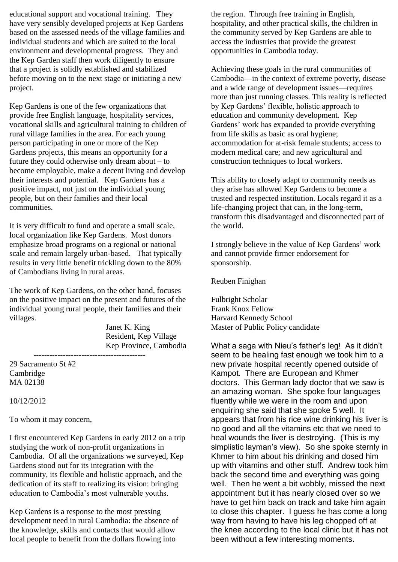educational support and vocational training. They have very sensibly developed projects at Kep Gardens based on the assessed needs of the village families and individual students and which are suited to the local environment and developmental progress. They and the Kep Garden staff then work diligently to ensure that a project is solidly established and stabilized before moving on to the next stage or initiating a new project.

Kep Gardens is one of the few organizations that provide free English language, hospitality services, vocational skills and agricultural training to children of rural village families in the area. For each young person participating in one or more of the Kep Gardens projects, this means an opportunity for a future they could otherwise only dream about – to become employable, make a decent living and develop their interests and potential. Kep Gardens has a positive impact, not just on the individual young people, but on their families and their local communities.

It is very difficult to fund and operate a small scale, local organization like Kep Gardens. Most donors emphasize broad programs on a regional or national scale and remain largely urban-based. That typically results in very little benefit trickling down to the 80% of Cambodians living in rural areas.

The work of Kep Gardens, on the other hand, focuses on the positive impact on the present and futures of the individual young rural people, their families and their villages.

------------------------------------------

Janet K. King Resident, Kep Village Kep Province, Cambodia

29 Sacramento St #2 Cambridge MA 02138

10/12/2012

To whom it may concern,

I first encountered Kep Gardens in early 2012 on a trip studying the work of non-profit organizations in Cambodia. Of all the organizations we surveyed, Kep Gardens stood out for its integration with the community, its flexible and holistic approach, and the dedication of its staff to realizing its vision: bringing education to Cambodia's most vulnerable youths.

Kep Gardens is a response to the most pressing development need in rural Cambodia: the absence of the knowledge, skills and contacts that would allow local people to benefit from the dollars flowing into

the region. Through free training in English, hospitality, and other practical skills, the children in the community served by Kep Gardens are able to access the industries that provide the greatest opportunities in Cambodia today.

Achieving these goals in the rural communities of Cambodia—in the context of extreme poverty, disease and a wide range of development issues—requires more than just running classes. This reality is reflected by Kep Gardens' flexible, holistic approach to education and community development. Kep Gardens' work has expanded to provide everything from life skills as basic as oral hygiene; accommodation for at-risk female students; access to modern medical care; and new agricultural and construction techniques to local workers.

This ability to closely adapt to community needs as they arise has allowed Kep Gardens to become a trusted and respected institution. Locals regard it as a life-changing project that can, in the long-term, transform this disadvantaged and disconnected part of the world.

I strongly believe in the value of Kep Gardens' work and cannot provide firmer endorsement for sponsorship.

Reuben Finighan

Fulbright Scholar Frank Knox Fellow Harvard Kennedy School Master of Public Policy candidate

What a saga with Nieu's father's leg! As it didn't seem to be healing fast enough we took him to a new private hospital recently opened outside of Kampot. There are European and Khmer doctors. This German lady doctor that we saw is an amazing woman. She spoke four languages fluently while we were in the room and upon enquiring she said that she spoke 5 well. It appears that from his rice wine drinking his liver is no good and all the vitamins etc that we need to heal wounds the liver is destroying. (This is my simplistic layman's view). So she spoke sternly in Khmer to him about his drinking and dosed him up with vitamins and other stuff. Andrew took him back the second time and everything was going well. Then he went a bit wobbly, missed the next appointment but it has nearly closed over so we have to get him back on track and take him again to close this chapter. I guess he has come a long way from having to have his leg chopped off at the knee according to the local clinic but it has not been without a few interesting moments.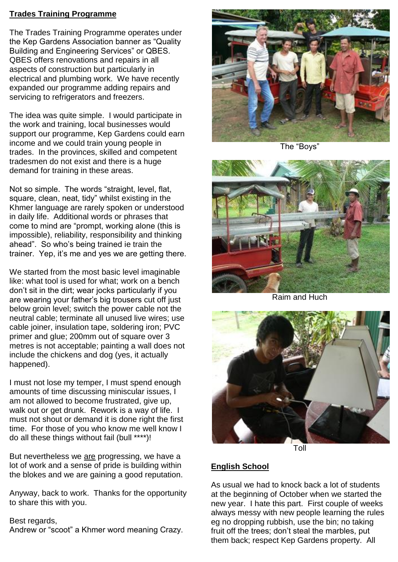### **Trades Training Programme**

The Trades Training Programme operates under the Kep Gardens Association banner as "Quality Building and Engineering Services" or QBES. QBES offers renovations and repairs in all aspects of construction but particularly in electrical and plumbing work. We have recently expanded our programme adding repairs and servicing to refrigerators and freezers.

The idea was quite simple. I would participate in the work and training, local businesses would support our programme, Kep Gardens could earn income and we could train young people in trades. In the provinces, skilled and competent tradesmen do not exist and there is a huge demand for training in these areas.

Not so simple. The words "straight, level, flat, square, clean, neat, tidy" whilst existing in the Khmer language are rarely spoken or understood in daily life. Additional words or phrases that come to mind are "prompt, working alone (this is impossible), reliability, responsibility and thinking ahead". So who's being trained ie train the trainer. Yep, it's me and yes we are getting there.

We started from the most basic level imaginable like: what tool is used for what; work on a bench don't sit in the dirt; wear jocks particularly if you are wearing your father's big trousers cut off just below groin level; switch the power cable not the neutral cable; terminate all unused live wires; use cable joiner, insulation tape, soldering iron; PVC primer and glue; 200mm out of square over 3 metres is not acceptable; painting a wall does not include the chickens and dog (yes, it actually happened).

I must not lose my temper, I must spend enough amounts of time discussing miniscular issues, I am not allowed to become frustrated, give up, walk out or get drunk. Rework is a way of life. I must not shout or demand it is done right the first time. For those of you who know me well know I do all these things without fail (bull \*\*\*\*)!

But nevertheless we are progressing, we have a lot of work and a sense of pride is building within the blokes and we are gaining a good reputation.

Anyway, back to work. Thanks for the opportunity to share this with you.

#### Best regards,

Andrew or "scoot" a Khmer word meaning Crazy.



The "Boys"



Raim and Huch



Toll

# **English School**

As usual we had to knock back a lot of students at the beginning of October when we started the new year. I hate this part. First couple of weeks always messy with new people learning the rules eg no dropping rubbish, use the bin; no taking fruit off the trees; don't steal the marbles, put them back; respect Kep Gardens property. All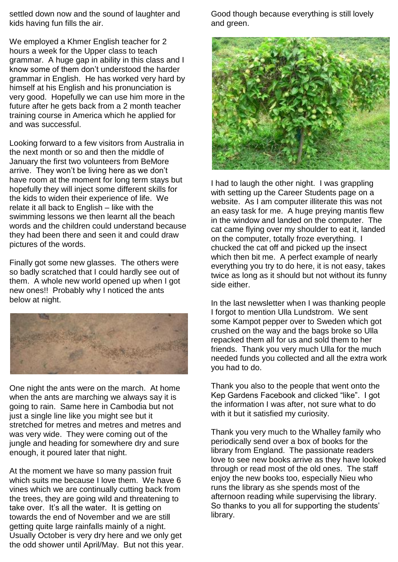settled down now and the sound of laughter and kids having fun fills the air.

We employed a Khmer English teacher for 2 hours a week for the Upper class to teach grammar. A huge gap in ability in this class and I know some of them don't understood the harder grammar in English. He has worked very hard by himself at his English and his pronunciation is very good. Hopefully we can use him more in the future after he gets back from a 2 month teacher training course in America which he applied for and was successful.

Looking forward to a few visitors from Australia in the next month or so and then the middle of January the first two volunteers from BeMore arrive. They won't be living here as we don't have room at the moment for long term stays but hopefully they will inject some different skills for the kids to widen their experience of life. We relate it all back to English – like with the swimming lessons we then learnt all the beach words and the children could understand because they had been there and seen it and could draw pictures of the words.

Finally got some new glasses. The others were so badly scratched that I could hardly see out of them. A whole new world opened up when I got new ones!! Probably why I noticed the ants below at night.



One night the ants were on the march. At home when the ants are marching we always say it is going to rain. Same here in Cambodia but not just a single line like you might see but it stretched for metres and metres and metres and was very wide. They were coming out of the jungle and heading for somewhere dry and sure enough, it poured later that night.

At the moment we have so many passion fruit which suits me because I love them. We have 6 vines which we are continually cutting back from the trees, they are going wild and threatening to take over. It's all the water. It is getting on towards the end of November and we are still getting quite large rainfalls mainly of a night. Usually October is very dry here and we only get the odd shower until April/May. But not this year. Good though because everything is still lovely and green.



I had to laugh the other night. I was grappling with setting up the Career Students page on a website. As I am computer illiterate this was not an easy task for me. A huge preying mantis flew in the window and landed on the computer. The cat came flying over my shoulder to eat it, landed on the computer, totally froze everything. I chucked the cat off and picked up the insect which then bit me. A perfect example of nearly everything you try to do here, it is not easy, takes twice as long as it should but not without its funny side either.

In the last newsletter when I was thanking people I forgot to mention Ulla Lundstrom. We sent some Kampot pepper over to Sweden which got crushed on the way and the bags broke so Ulla repacked them all for us and sold them to her friends. Thank you very much Ulla for the much needed funds you collected and all the extra work you had to do.

Thank you also to the people that went onto the Kep Gardens Facebook and clicked "like". I got the information I was after, not sure what to do with it but it satisfied my curiosity.

Thank you very much to the Whalley family who periodically send over a box of books for the library from England. The passionate readers love to see new books arrive as they have looked through or read most of the old ones. The staff enjoy the new books too, especially Nieu who runs the library as she spends most of the afternoon reading while supervising the library. So thanks to you all for supporting the students' library.